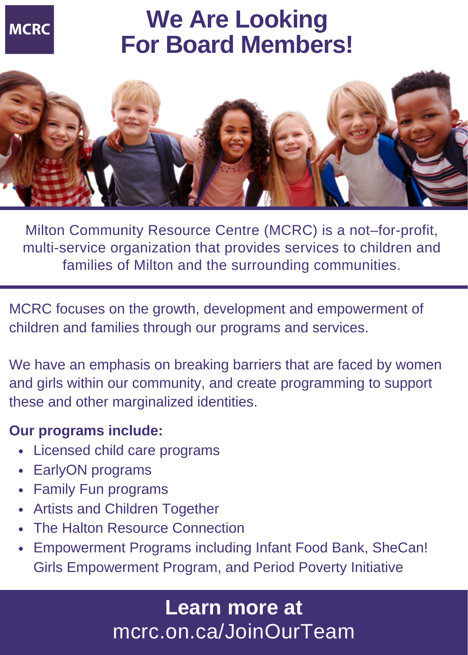

# **We Are Looking For Board Members!**



Milton Community Resource Centre (MCRC) is a not–for-profit, multi-service organization that provides services to children and families of Milton and the surrounding communities.

MCRC focuses on the growth, development and empowerment of children and families through our programs and services.

We have an emphasis on breaking barriers that are faced by women and girls within our community, and create programming to support these and other marginalized identities.

#### **Our programs include:**

- Licensed child care programs
- EarlyON programs
- Family Fun programs
- Artists and Children Together
- The Halton Resource Connection
- Empowerment Programs including Infant Food Bank, SheCan! Girls Empowerment Program, and Period Poverty Initiative

### mcrc.on.ca/JoinOurTeam **Learn more at**